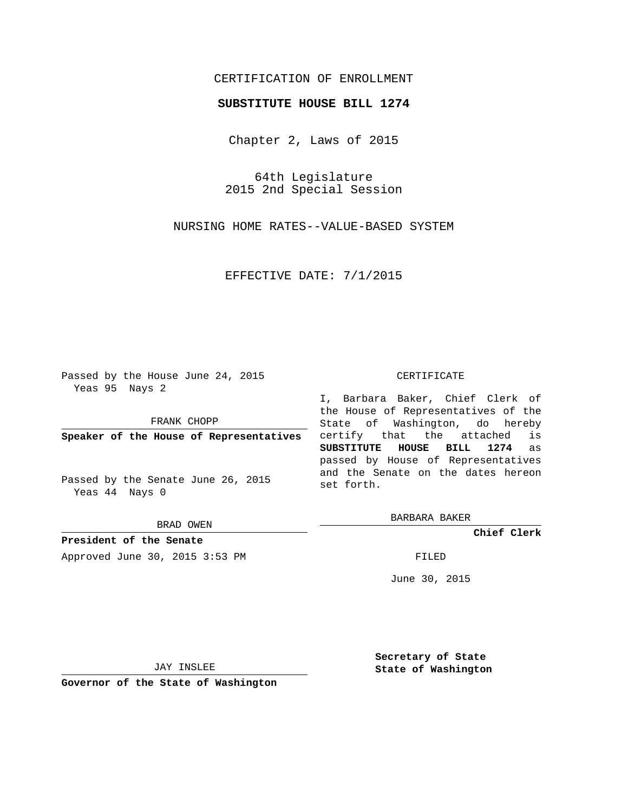## CERTIFICATION OF ENROLLMENT

## **SUBSTITUTE HOUSE BILL 1274**

Chapter 2, Laws of 2015

64th Legislature 2015 2nd Special Session

NURSING HOME RATES--VALUE-BASED SYSTEM

EFFECTIVE DATE: 7/1/2015

Passed by the House June 24, 2015 Yeas 95 Nays 2

FRANK CHOPP

**Speaker of the House of Representatives**

Passed by the Senate June 26, 2015 Yeas 44 Nays 0

BRAD OWEN

**President of the Senate** Approved June 30, 2015 3:53 PM FILED

## CERTIFICATE

I, Barbara Baker, Chief Clerk of the House of Representatives of the State of Washington, do hereby certify that the attached is **SUBSTITUTE HOUSE BILL 1274** as passed by House of Representatives and the Senate on the dates hereon set forth.

BARBARA BAKER

**Chief Clerk**

June 30, 2015

JAY INSLEE

**Governor of the State of Washington**

**Secretary of State State of Washington**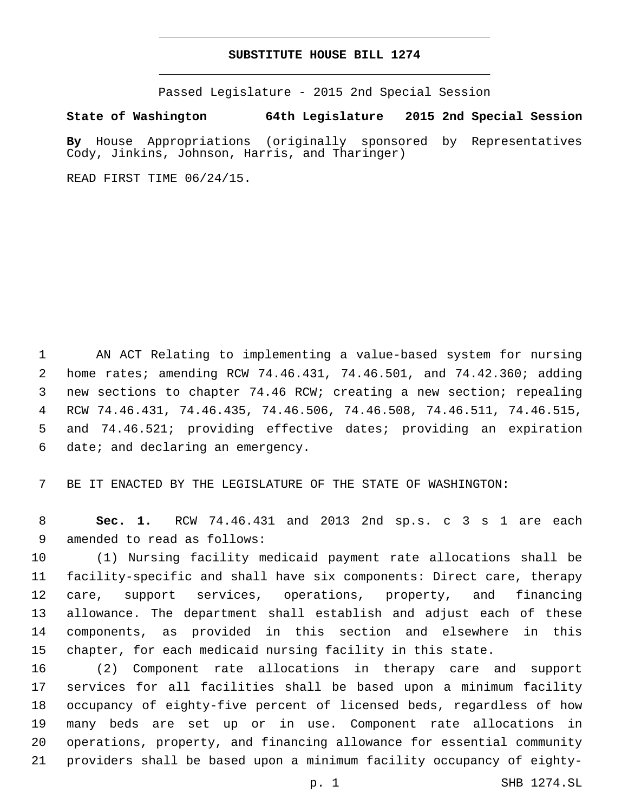## **SUBSTITUTE HOUSE BILL 1274**

Passed Legislature - 2015 2nd Special Session

**State of Washington 64th Legislature 2015 2nd Special Session**

**By** House Appropriations (originally sponsored by Representatives Cody, Jinkins, Johnson, Harris, and Tharinger)

READ FIRST TIME 06/24/15.

 AN ACT Relating to implementing a value-based system for nursing home rates; amending RCW 74.46.431, 74.46.501, and 74.42.360; adding new sections to chapter 74.46 RCW; creating a new section; repealing RCW 74.46.431, 74.46.435, 74.46.506, 74.46.508, 74.46.511, 74.46.515, and 74.46.521; providing effective dates; providing an expiration 6 date; and declaring an emergency.

BE IT ENACTED BY THE LEGISLATURE OF THE STATE OF WASHINGTON:

 **Sec. 1.** RCW 74.46.431 and 2013 2nd sp.s. c 3 s 1 are each 9 amended to read as follows:

 (1) Nursing facility medicaid payment rate allocations shall be facility-specific and shall have six components: Direct care, therapy care, support services, operations, property, and financing allowance. The department shall establish and adjust each of these components, as provided in this section and elsewhere in this chapter, for each medicaid nursing facility in this state.

 (2) Component rate allocations in therapy care and support services for all facilities shall be based upon a minimum facility occupancy of eighty-five percent of licensed beds, regardless of how many beds are set up or in use. Component rate allocations in operations, property, and financing allowance for essential community providers shall be based upon a minimum facility occupancy of eighty-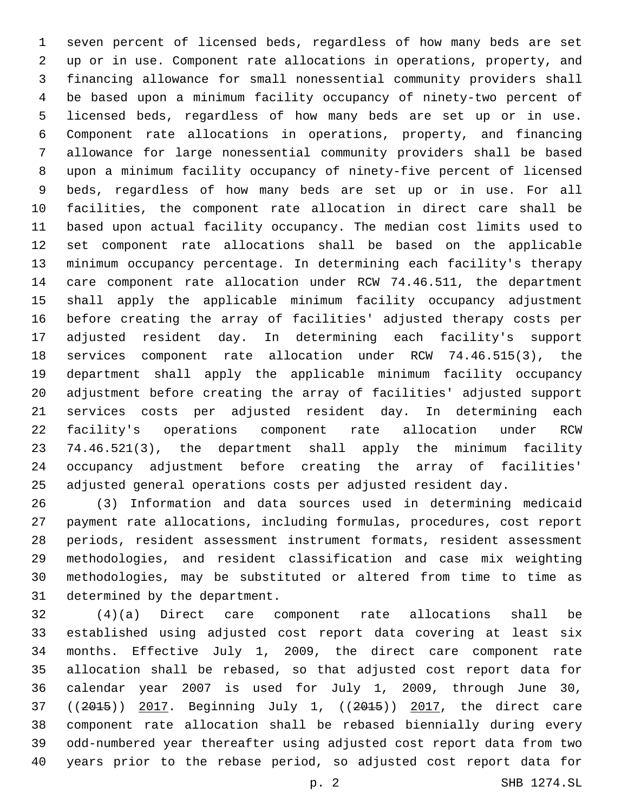seven percent of licensed beds, regardless of how many beds are set up or in use. Component rate allocations in operations, property, and financing allowance for small nonessential community providers shall be based upon a minimum facility occupancy of ninety-two percent of licensed beds, regardless of how many beds are set up or in use. Component rate allocations in operations, property, and financing allowance for large nonessential community providers shall be based upon a minimum facility occupancy of ninety-five percent of licensed beds, regardless of how many beds are set up or in use. For all facilities, the component rate allocation in direct care shall be based upon actual facility occupancy. The median cost limits used to set component rate allocations shall be based on the applicable minimum occupancy percentage. In determining each facility's therapy care component rate allocation under RCW 74.46.511, the department shall apply the applicable minimum facility occupancy adjustment before creating the array of facilities' adjusted therapy costs per adjusted resident day. In determining each facility's support services component rate allocation under RCW 74.46.515(3), the department shall apply the applicable minimum facility occupancy adjustment before creating the array of facilities' adjusted support services costs per adjusted resident day. In determining each facility's operations component rate allocation under RCW 74.46.521(3), the department shall apply the minimum facility occupancy adjustment before creating the array of facilities' adjusted general operations costs per adjusted resident day.

 (3) Information and data sources used in determining medicaid payment rate allocations, including formulas, procedures, cost report periods, resident assessment instrument formats, resident assessment methodologies, and resident classification and case mix weighting methodologies, may be substituted or altered from time to time as 31 determined by the department.

 (4)(a) Direct care component rate allocations shall be established using adjusted cost report data covering at least six months. Effective July 1, 2009, the direct care component rate allocation shall be rebased, so that adjusted cost report data for calendar year 2007 is used for July 1, 2009, through June 30, ((2015)) 2017. Beginning July 1, ((2015)) 2017, the direct care component rate allocation shall be rebased biennially during every odd-numbered year thereafter using adjusted cost report data from two years prior to the rebase period, so adjusted cost report data for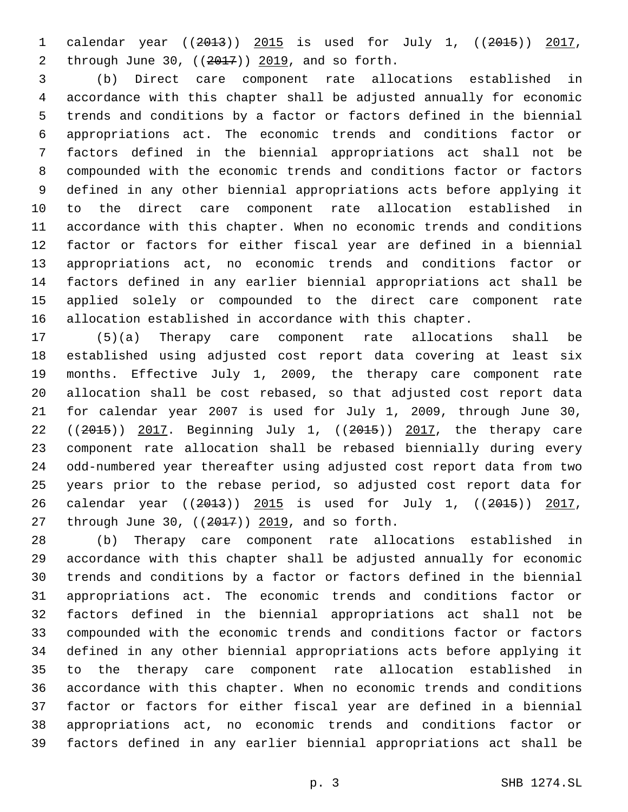calendar year ((2013)) 2015 is used for July 1, ((2015)) 2017, 2 through June 30,  $((2017))$  2019, and so forth.

 (b) Direct care component rate allocations established in accordance with this chapter shall be adjusted annually for economic trends and conditions by a factor or factors defined in the biennial appropriations act. The economic trends and conditions factor or factors defined in the biennial appropriations act shall not be compounded with the economic trends and conditions factor or factors defined in any other biennial appropriations acts before applying it to the direct care component rate allocation established in accordance with this chapter. When no economic trends and conditions factor or factors for either fiscal year are defined in a biennial appropriations act, no economic trends and conditions factor or factors defined in any earlier biennial appropriations act shall be applied solely or compounded to the direct care component rate allocation established in accordance with this chapter.

 (5)(a) Therapy care component rate allocations shall be established using adjusted cost report data covering at least six months. Effective July 1, 2009, the therapy care component rate allocation shall be cost rebased, so that adjusted cost report data for calendar year 2007 is used for July 1, 2009, through June 30, ((2015)) 2017. Beginning July 1, ((2015)) 2017, the therapy care component rate allocation shall be rebased biennially during every odd-numbered year thereafter using adjusted cost report data from two years prior to the rebase period, so adjusted cost report data for calendar year ((2013)) 2015 is used for July 1, ((2015)) 2017, 27 through June 30,  $((2017))$  2019, and so forth.

 (b) Therapy care component rate allocations established in accordance with this chapter shall be adjusted annually for economic trends and conditions by a factor or factors defined in the biennial appropriations act. The economic trends and conditions factor or factors defined in the biennial appropriations act shall not be compounded with the economic trends and conditions factor or factors defined in any other biennial appropriations acts before applying it to the therapy care component rate allocation established in accordance with this chapter. When no economic trends and conditions factor or factors for either fiscal year are defined in a biennial appropriations act, no economic trends and conditions factor or factors defined in any earlier biennial appropriations act shall be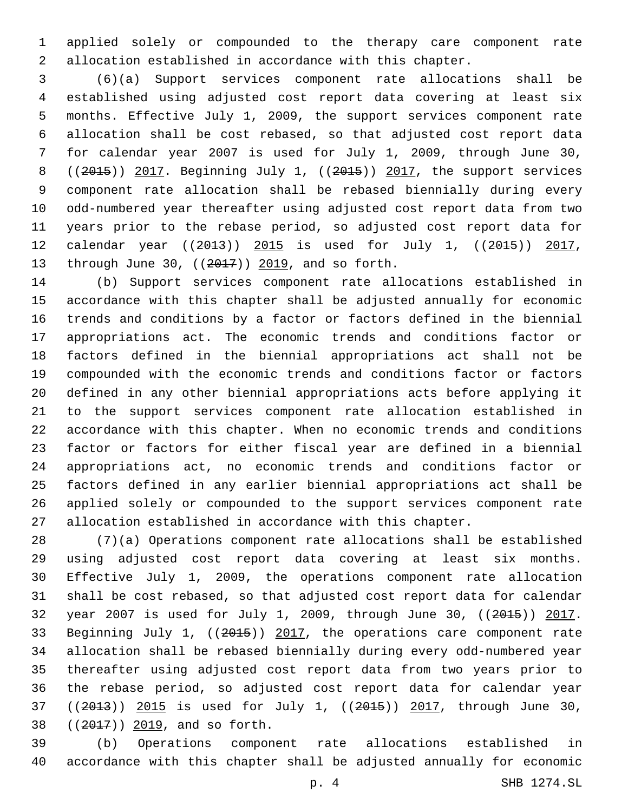applied solely or compounded to the therapy care component rate allocation established in accordance with this chapter.

 (6)(a) Support services component rate allocations shall be established using adjusted cost report data covering at least six months. Effective July 1, 2009, the support services component rate allocation shall be cost rebased, so that adjusted cost report data for calendar year 2007 is used for July 1, 2009, through June 30, ((2015)) 2017. Beginning July 1, ((2015)) 2017, the support services component rate allocation shall be rebased biennially during every odd-numbered year thereafter using adjusted cost report data from two years prior to the rebase period, so adjusted cost report data for calendar year ((2013)) 2015 is used for July 1, ((2015)) 2017, 13 through June 30,  $((2017))$  2019, and so forth.

 (b) Support services component rate allocations established in accordance with this chapter shall be adjusted annually for economic trends and conditions by a factor or factors defined in the biennial appropriations act. The economic trends and conditions factor or factors defined in the biennial appropriations act shall not be compounded with the economic trends and conditions factor or factors defined in any other biennial appropriations acts before applying it to the support services component rate allocation established in accordance with this chapter. When no economic trends and conditions factor or factors for either fiscal year are defined in a biennial appropriations act, no economic trends and conditions factor or factors defined in any earlier biennial appropriations act shall be applied solely or compounded to the support services component rate allocation established in accordance with this chapter.

 (7)(a) Operations component rate allocations shall be established using adjusted cost report data covering at least six months. Effective July 1, 2009, the operations component rate allocation shall be cost rebased, so that adjusted cost report data for calendar year 2007 is used for July 1, 2009, through June 30, ((2015)) 2017. 33 Beginning July 1, ((2015)) 2017, the operations care component rate allocation shall be rebased biennially during every odd-numbered year thereafter using adjusted cost report data from two years prior to the rebase period, so adjusted cost report data for calendar year ((2013)) 2015 is used for July 1, ((2015)) 2017, through June 30, 38 ((2017)) 2019, and so forth.

 (b) Operations component rate allocations established in accordance with this chapter shall be adjusted annually for economic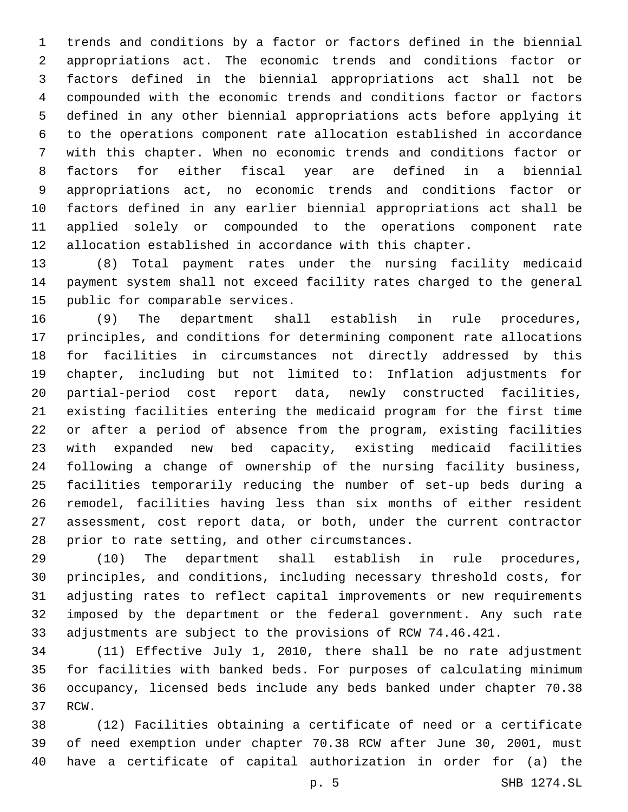trends and conditions by a factor or factors defined in the biennial appropriations act. The economic trends and conditions factor or factors defined in the biennial appropriations act shall not be compounded with the economic trends and conditions factor or factors defined in any other biennial appropriations acts before applying it to the operations component rate allocation established in accordance with this chapter. When no economic trends and conditions factor or factors for either fiscal year are defined in a biennial appropriations act, no economic trends and conditions factor or factors defined in any earlier biennial appropriations act shall be applied solely or compounded to the operations component rate allocation established in accordance with this chapter.

 (8) Total payment rates under the nursing facility medicaid payment system shall not exceed facility rates charged to the general 15 public for comparable services.

 (9) The department shall establish in rule procedures, principles, and conditions for determining component rate allocations for facilities in circumstances not directly addressed by this chapter, including but not limited to: Inflation adjustments for partial-period cost report data, newly constructed facilities, existing facilities entering the medicaid program for the first time or after a period of absence from the program, existing facilities with expanded new bed capacity, existing medicaid facilities following a change of ownership of the nursing facility business, facilities temporarily reducing the number of set-up beds during a remodel, facilities having less than six months of either resident assessment, cost report data, or both, under the current contractor 28 prior to rate setting, and other circumstances.

 (10) The department shall establish in rule procedures, principles, and conditions, including necessary threshold costs, for adjusting rates to reflect capital improvements or new requirements imposed by the department or the federal government. Any such rate adjustments are subject to the provisions of RCW 74.46.421.

 (11) Effective July 1, 2010, there shall be no rate adjustment for facilities with banked beds. For purposes of calculating minimum occupancy, licensed beds include any beds banked under chapter 70.38 37 RCW.

 (12) Facilities obtaining a certificate of need or a certificate of need exemption under chapter 70.38 RCW after June 30, 2001, must have a certificate of capital authorization in order for (a) the

p. 5 SHB 1274.SL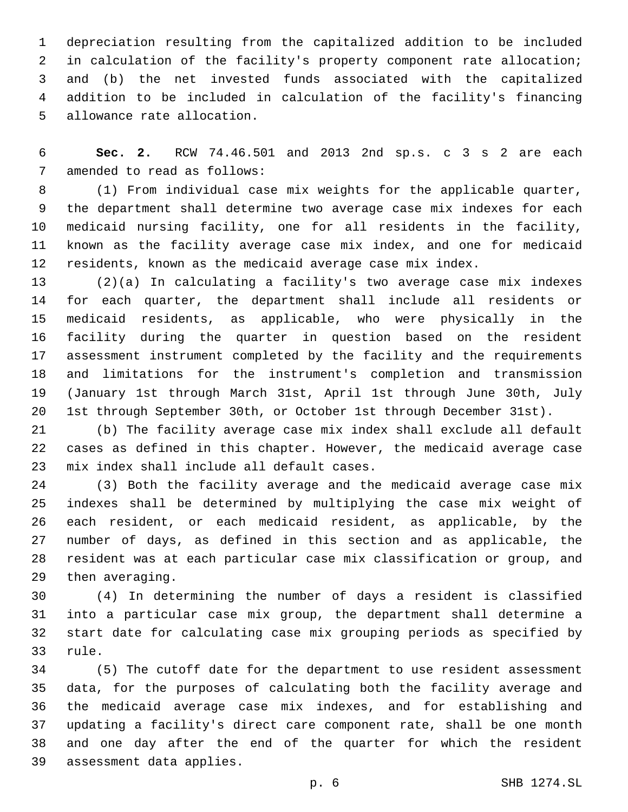depreciation resulting from the capitalized addition to be included in calculation of the facility's property component rate allocation; and (b) the net invested funds associated with the capitalized addition to be included in calculation of the facility's financing 5 allowance rate allocation.

 **Sec. 2.** RCW 74.46.501 and 2013 2nd sp.s. c 3 s 2 are each 7 amended to read as follows:

 (1) From individual case mix weights for the applicable quarter, the department shall determine two average case mix indexes for each medicaid nursing facility, one for all residents in the facility, known as the facility average case mix index, and one for medicaid residents, known as the medicaid average case mix index.

 (2)(a) In calculating a facility's two average case mix indexes for each quarter, the department shall include all residents or medicaid residents, as applicable, who were physically in the facility during the quarter in question based on the resident assessment instrument completed by the facility and the requirements and limitations for the instrument's completion and transmission (January 1st through March 31st, April 1st through June 30th, July 1st through September 30th, or October 1st through December 31st).

 (b) The facility average case mix index shall exclude all default cases as defined in this chapter. However, the medicaid average case 23 mix index shall include all default cases.

 (3) Both the facility average and the medicaid average case mix indexes shall be determined by multiplying the case mix weight of each resident, or each medicaid resident, as applicable, by the number of days, as defined in this section and as applicable, the resident was at each particular case mix classification or group, and 29 then averaging.

 (4) In determining the number of days a resident is classified into a particular case mix group, the department shall determine a start date for calculating case mix grouping periods as specified by 33 rule.

 (5) The cutoff date for the department to use resident assessment data, for the purposes of calculating both the facility average and the medicaid average case mix indexes, and for establishing and updating a facility's direct care component rate, shall be one month and one day after the end of the quarter for which the resident 39 assessment data applies.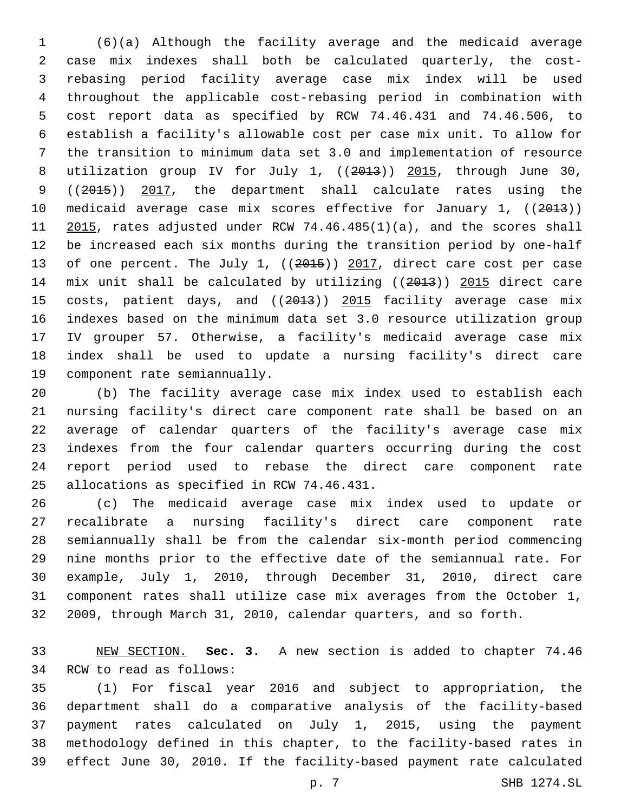(6)(a) Although the facility average and the medicaid average case mix indexes shall both be calculated quarterly, the cost- rebasing period facility average case mix index will be used throughout the applicable cost-rebasing period in combination with cost report data as specified by RCW 74.46.431 and 74.46.506, to establish a facility's allowable cost per case mix unit. To allow for the transition to minimum data set 3.0 and implementation of resource 8 utilization group IV for July 1, ((2013)) 2015, through June 30, 9 ((2015)) 2017, the department shall calculate rates using the 10 medicaid average case mix scores effective for January 1, ((2013)) 11 2015, rates adjusted under RCW 74.46.485(1)(a), and the scores shall be increased each six months during the transition period by one-half 13 of one percent. The July 1, ((2015)) 2017, direct care cost per case mix unit shall be calculated by utilizing ((2013)) 2015 direct care 15 costs, patient days, and ((2013)) 2015 facility average case mix indexes based on the minimum data set 3.0 resource utilization group IV grouper 57. Otherwise, a facility's medicaid average case mix index shall be used to update a nursing facility's direct care 19 component rate semiannually.

 (b) The facility average case mix index used to establish each nursing facility's direct care component rate shall be based on an average of calendar quarters of the facility's average case mix indexes from the four calendar quarters occurring during the cost report period used to rebase the direct care component rate 25 allocations as specified in RCW 74.46.431.

 (c) The medicaid average case mix index used to update or recalibrate a nursing facility's direct care component rate semiannually shall be from the calendar six-month period commencing nine months prior to the effective date of the semiannual rate. For example, July 1, 2010, through December 31, 2010, direct care component rates shall utilize case mix averages from the October 1, 2009, through March 31, 2010, calendar quarters, and so forth.

 NEW SECTION. **Sec. 3.** A new section is added to chapter 74.46 34 RCW to read as follows:

 (1) For fiscal year 2016 and subject to appropriation, the department shall do a comparative analysis of the facility-based payment rates calculated on July 1, 2015, using the payment methodology defined in this chapter, to the facility-based rates in effect June 30, 2010. If the facility-based payment rate calculated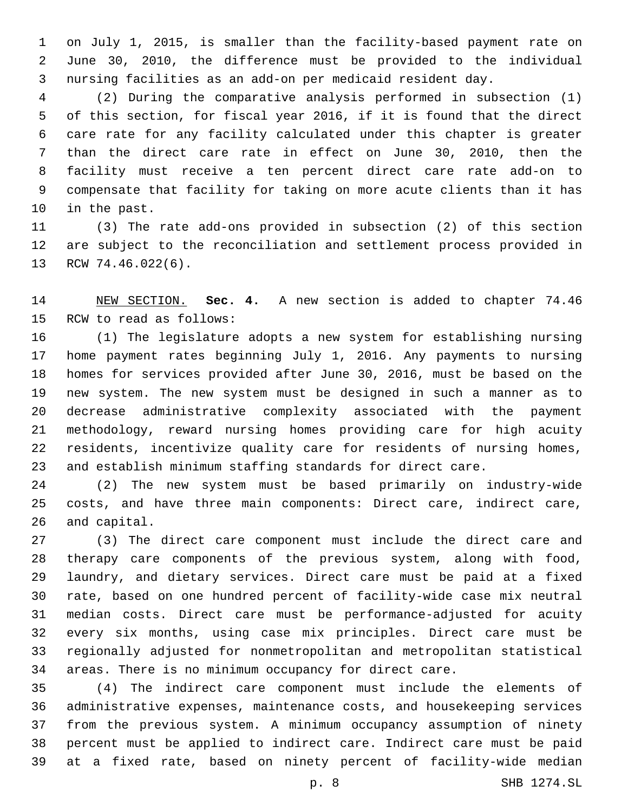on July 1, 2015, is smaller than the facility-based payment rate on June 30, 2010, the difference must be provided to the individual nursing facilities as an add-on per medicaid resident day.

 (2) During the comparative analysis performed in subsection (1) of this section, for fiscal year 2016, if it is found that the direct care rate for any facility calculated under this chapter is greater than the direct care rate in effect on June 30, 2010, then the facility must receive a ten percent direct care rate add-on to compensate that facility for taking on more acute clients than it has 10 in the past.

 (3) The rate add-ons provided in subsection (2) of this section are subject to the reconciliation and settlement process provided in 13 RCW 74.46.022(6).

 NEW SECTION. **Sec. 4.** A new section is added to chapter 74.46 15 RCW to read as follows:

 (1) The legislature adopts a new system for establishing nursing home payment rates beginning July 1, 2016. Any payments to nursing homes for services provided after June 30, 2016, must be based on the new system. The new system must be designed in such a manner as to decrease administrative complexity associated with the payment methodology, reward nursing homes providing care for high acuity residents, incentivize quality care for residents of nursing homes, and establish minimum staffing standards for direct care.

 (2) The new system must be based primarily on industry-wide costs, and have three main components: Direct care, indirect care, 26 and capital.

 (3) The direct care component must include the direct care and therapy care components of the previous system, along with food, laundry, and dietary services. Direct care must be paid at a fixed rate, based on one hundred percent of facility-wide case mix neutral median costs. Direct care must be performance-adjusted for acuity every six months, using case mix principles. Direct care must be regionally adjusted for nonmetropolitan and metropolitan statistical areas. There is no minimum occupancy for direct care.

 (4) The indirect care component must include the elements of administrative expenses, maintenance costs, and housekeeping services from the previous system. A minimum occupancy assumption of ninety percent must be applied to indirect care. Indirect care must be paid at a fixed rate, based on ninety percent of facility-wide median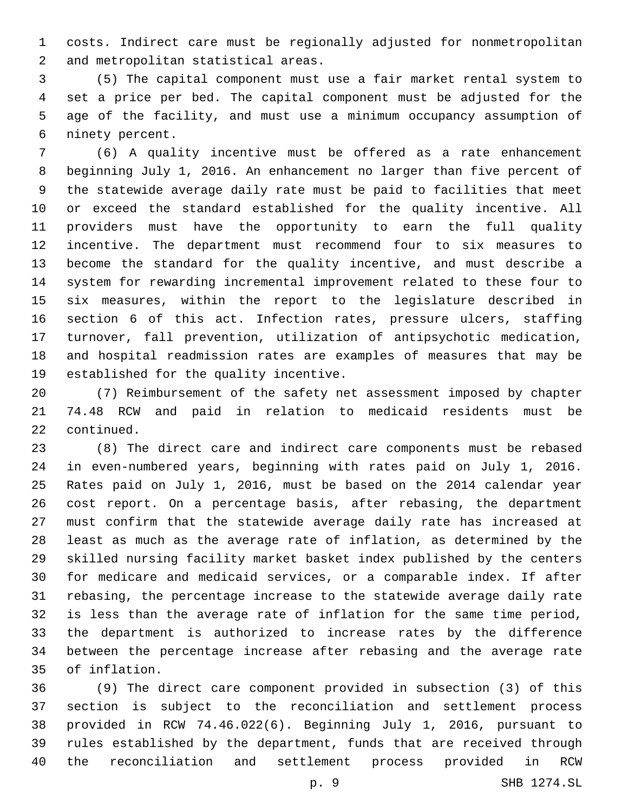costs. Indirect care must be regionally adjusted for nonmetropolitan 2 and metropolitan statistical areas.

 (5) The capital component must use a fair market rental system to set a price per bed. The capital component must be adjusted for the age of the facility, and must use a minimum occupancy assumption of 6 ninety percent.

 (6) A quality incentive must be offered as a rate enhancement beginning July 1, 2016. An enhancement no larger than five percent of the statewide average daily rate must be paid to facilities that meet or exceed the standard established for the quality incentive. All providers must have the opportunity to earn the full quality incentive. The department must recommend four to six measures to become the standard for the quality incentive, and must describe a system for rewarding incremental improvement related to these four to six measures, within the report to the legislature described in section 6 of this act. Infection rates, pressure ulcers, staffing turnover, fall prevention, utilization of antipsychotic medication, and hospital readmission rates are examples of measures that may be 19 established for the quality incentive.

 (7) Reimbursement of the safety net assessment imposed by chapter 74.48 RCW and paid in relation to medicaid residents must be 22 continued.

 (8) The direct care and indirect care components must be rebased in even-numbered years, beginning with rates paid on July 1, 2016. Rates paid on July 1, 2016, must be based on the 2014 calendar year cost report. On a percentage basis, after rebasing, the department must confirm that the statewide average daily rate has increased at least as much as the average rate of inflation, as determined by the skilled nursing facility market basket index published by the centers for medicare and medicaid services, or a comparable index. If after rebasing, the percentage increase to the statewide average daily rate is less than the average rate of inflation for the same time period, the department is authorized to increase rates by the difference between the percentage increase after rebasing and the average rate of inflation.35

 (9) The direct care component provided in subsection (3) of this section is subject to the reconciliation and settlement process provided in RCW 74.46.022(6). Beginning July 1, 2016, pursuant to rules established by the department, funds that are received through the reconciliation and settlement process provided in RCW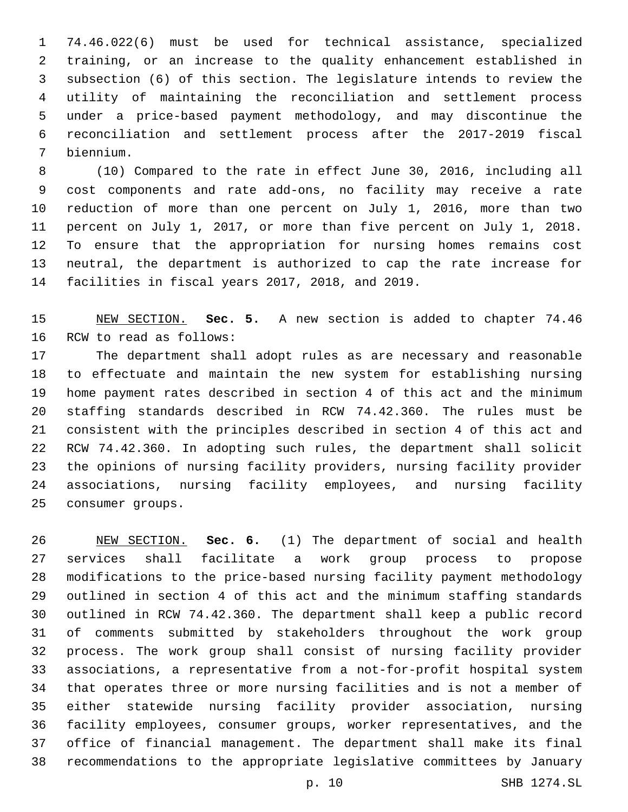74.46.022(6) must be used for technical assistance, specialized training, or an increase to the quality enhancement established in subsection (6) of this section. The legislature intends to review the utility of maintaining the reconciliation and settlement process under a price-based payment methodology, and may discontinue the reconciliation and settlement process after the 2017-2019 fiscal biennium.7

 (10) Compared to the rate in effect June 30, 2016, including all cost components and rate add-ons, no facility may receive a rate reduction of more than one percent on July 1, 2016, more than two percent on July 1, 2017, or more than five percent on July 1, 2018. To ensure that the appropriation for nursing homes remains cost neutral, the department is authorized to cap the rate increase for 14 facilities in fiscal years 2017, 2018, and 2019.

 NEW SECTION. **Sec. 5.** A new section is added to chapter 74.46 16 RCW to read as follows:

 The department shall adopt rules as are necessary and reasonable to effectuate and maintain the new system for establishing nursing home payment rates described in section 4 of this act and the minimum staffing standards described in RCW 74.42.360. The rules must be consistent with the principles described in section 4 of this act and RCW 74.42.360. In adopting such rules, the department shall solicit the opinions of nursing facility providers, nursing facility provider associations, nursing facility employees, and nursing facility 25 consumer groups.

 NEW SECTION. **Sec. 6.** (1) The department of social and health services shall facilitate a work group process to propose modifications to the price-based nursing facility payment methodology outlined in section 4 of this act and the minimum staffing standards outlined in RCW 74.42.360. The department shall keep a public record of comments submitted by stakeholders throughout the work group process. The work group shall consist of nursing facility provider associations, a representative from a not-for-profit hospital system that operates three or more nursing facilities and is not a member of either statewide nursing facility provider association, nursing facility employees, consumer groups, worker representatives, and the office of financial management. The department shall make its final recommendations to the appropriate legislative committees by January

p. 10 SHB 1274.SL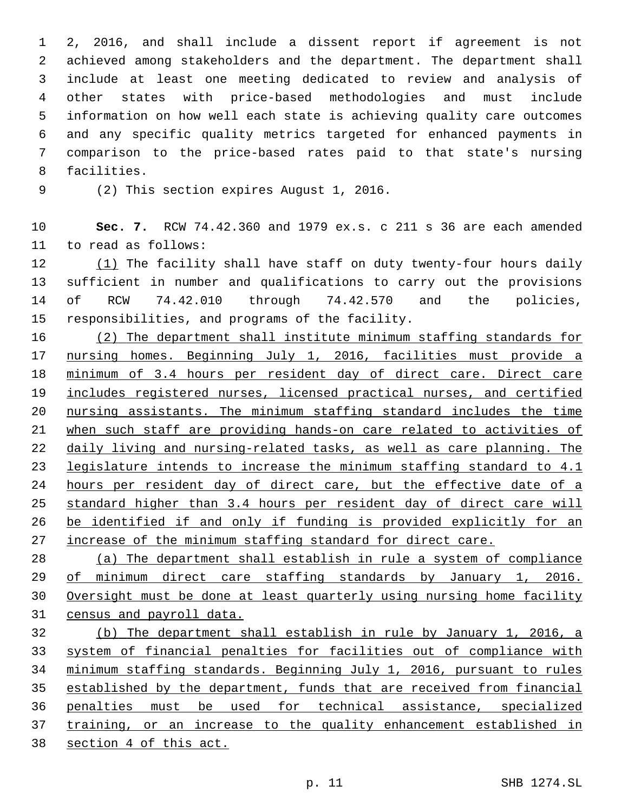2, 2016, and shall include a dissent report if agreement is not achieved among stakeholders and the department. The department shall include at least one meeting dedicated to review and analysis of other states with price-based methodologies and must include information on how well each state is achieving quality care outcomes and any specific quality metrics targeted for enhanced payments in comparison to the price-based rates paid to that state's nursing 8 facilities.

9 (2) This section expires August 1, 2016.

 **Sec. 7.** RCW 74.42.360 and 1979 ex.s. c 211 s 36 are each amended 11 to read as follows:

12 (1) The facility shall have staff on duty twenty-four hours daily sufficient in number and qualifications to carry out the provisions of RCW 74.42.010 through 74.42.570 and the policies, 15 responsibilities, and programs of the facility.

 (2) The department shall institute minimum staffing standards for nursing homes. Beginning July 1, 2016, facilities must provide a minimum of 3.4 hours per resident day of direct care. Direct care includes registered nurses, licensed practical nurses, and certified nursing assistants. The minimum staffing standard includes the time when such staff are providing hands-on care related to activities of daily living and nursing-related tasks, as well as care planning. The legislature intends to increase the minimum staffing standard to 4.1 24 hours per resident day of direct care, but the effective date of a standard higher than 3.4 hours per resident day of direct care will be identified if and only if funding is provided explicitly for an increase of the minimum staffing standard for direct care.

 (a) The department shall establish in rule a system of compliance of minimum direct care staffing standards by January 1, 2016. Oversight must be done at least quarterly using nursing home facility census and payroll data.

 (b) The department shall establish in rule by January 1, 2016, a system of financial penalties for facilities out of compliance with minimum staffing standards. Beginning July 1, 2016, pursuant to rules established by the department, funds that are received from financial penalties must be used for technical assistance, specialized training, or an increase to the quality enhancement established in section 4 of this act.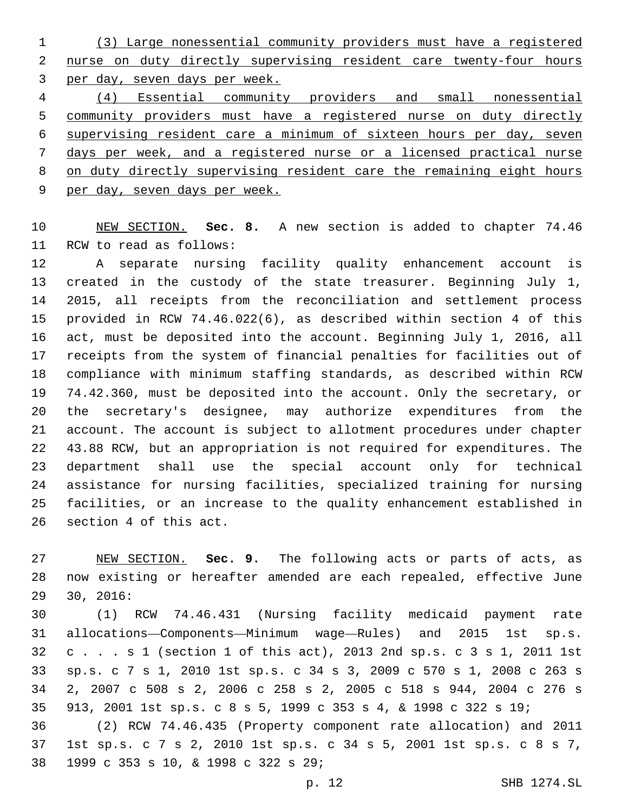(3) Large nonessential community providers must have a registered nurse on duty directly supervising resident care twenty-four hours per day, seven days per week.

 (4) Essential community providers and small nonessential community providers must have a registered nurse on duty directly supervising resident care a minimum of sixteen hours per day, seven days per week, and a registered nurse or a licensed practical nurse on duty directly supervising resident care the remaining eight hours per day, seven days per week.

 NEW SECTION. **Sec. 8.** A new section is added to chapter 74.46 11 RCW to read as follows:

 A separate nursing facility quality enhancement account is created in the custody of the state treasurer. Beginning July 1, 2015, all receipts from the reconciliation and settlement process provided in RCW 74.46.022(6), as described within section 4 of this act, must be deposited into the account. Beginning July 1, 2016, all receipts from the system of financial penalties for facilities out of compliance with minimum staffing standards, as described within RCW 74.42.360, must be deposited into the account. Only the secretary, or the secretary's designee, may authorize expenditures from the account. The account is subject to allotment procedures under chapter 43.88 RCW, but an appropriation is not required for expenditures. The department shall use the special account only for technical assistance for nursing facilities, specialized training for nursing facilities, or an increase to the quality enhancement established in 26 section 4 of this act.

 NEW SECTION. **Sec. 9.** The following acts or parts of acts, as now existing or hereafter amended are each repealed, effective June 30, 2016:

 (1) RCW 74.46.431 (Nursing facility medicaid payment rate allocations—Components—Minimum wage—Rules) and 2015 1st sp.s. c . . . s 1 (section 1 of this act), 2013 2nd sp.s. c 3 s 1, 2011 1st sp.s. c 7 s 1, 2010 1st sp.s. c 34 s 3, 2009 c 570 s 1, 2008 c 263 s 2, 2007 c 508 s 2, 2006 c 258 s 2, 2005 c 518 s 944, 2004 c 276 s 913, 2001 1st sp.s. c 8 s 5, 1999 c 353 s 4, & 1998 c 322 s 19;

 (2) RCW 74.46.435 (Property component rate allocation) and 2011 1st sp.s. c 7 s 2, 2010 1st sp.s. c 34 s 5, 2001 1st sp.s. c 8 s 7, 1999 c 353 s 10, & 1998 c 322 s 29;38